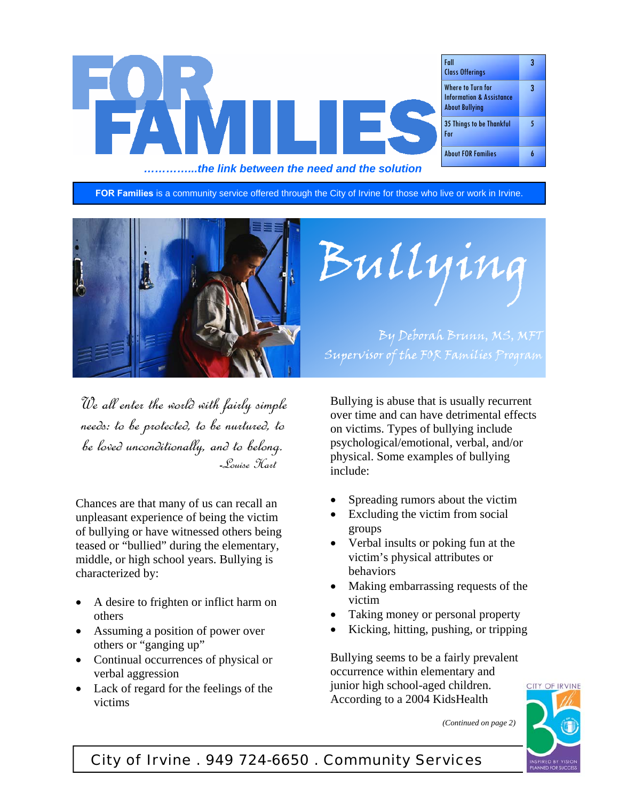

**FOR Families** is a community service offered through the City of Irvine for those who live or work in Irvine.



We all enter the world with fairly simple needs: to be protected, to be nurtured, to be loved unconditionally, and to belong. -Louise Hart

Chances are that many of us can recall an unpleasant experience of being the victim of bullying or have witnessed others being teased or "bullied" during the elementary, middle, or high school years. Bullying is characterized by:

- A desire to frighten or inflict harm on others
- Assuming a position of power over others or "ganging up"
- Continual occurrences of physical or verbal aggression
- Lack of regard for the feelings of the victims

Bullying

By Deborah Brunn, MS, MFT Supervisor of the FOR Families Program

Bullying is abuse that is usually recurrent over time and can have detrimental effects on victims. Types of bullying include psychological/emotional, verbal, and/or physical. Some examples of bullying include:

- Spreading rumors about the victim
- Excluding the victim from social groups
- Verbal insults or poking fun at the victim's physical attributes or behaviors
- Making embarrassing requests of the victim
- Taking money or personal property
- Kicking, hitting, pushing, or tripping

Bullying seems to be a fairly prevalent occurrence within elementary and junior high school-aged children. According to a 2004 KidsHealth





# City of Irvine . 949 724-6650 . Community Services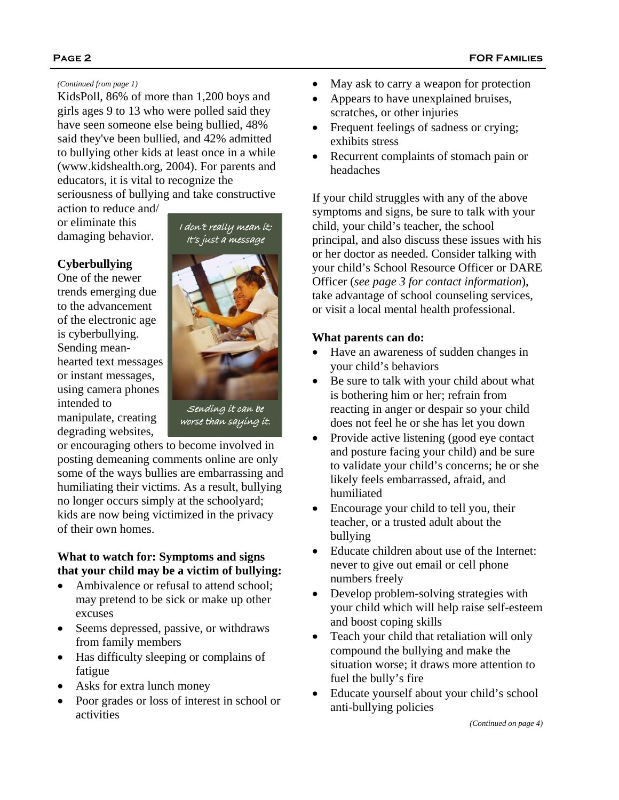KidsPoll, 86% of more than 1,200 boys and girls ages 9 to 13 who were polled said they have seen someone else being bullied, 48% said they've been bullied, and 42% admitted to bullying other kids at least once in a while (www.kidshealth.org, 2004). For parents and educators, it is vital to recognize the

seriousness of bullying and take constructive

action to reduce and/ or eliminate this damaging behavior.

## **Cyberbullying**

One of the newer trends emerging due to the advancement of the electronic age is cyberbullying. Sending meanhearted text messages or instant messages, using camera phones intended to manipulate, creating degrading websites,



or encouraging others to become involved in posting demeaning comments online are only some of the ways bullies are embarrassing and humiliating their victims. As a result, bullying no longer occurs simply at the schoolyard; kids are now being victimized in the privacy of their own homes.

## **What to watch for: Symptoms and signs that your child may be a victim of bullying:**

- Ambivalence or refusal to attend school; may pretend to be sick or make up other excuses
- Seems depressed, passive, or withdraws from family members
- Has difficulty sleeping or complains of fatigue
- Asks for extra lunch money
- Poor grades or loss of interest in school or activities
- *(Continued from page 1)*  May ask to carry a weapon for protection
	- Appears to have unexplained bruises, scratches, or other injuries
	- Frequent feelings of sadness or crying; exhibits stress
	- Recurrent complaints of stomach pain or headaches

If your child struggles with any of the above symptoms and signs, be sure to talk with your child, your child's teacher, the school principal, and also discuss these issues with his or her doctor as needed. Consider talking with your child's School Resource Officer or DARE Officer (*see page 3 for contact information*), take advantage of school counseling services, or visit a local mental health professional.

## **What parents can do:**

- Have an awareness of sudden changes in your child's behaviors
- Be sure to talk with your child about what is bothering him or her; refrain from reacting in anger or despair so your child does not feel he or she has let you down
- Provide active listening (good eye contact and posture facing your child) and be sure to validate your child's concerns; he or she likely feels embarrassed, afraid, and humiliated
- Encourage your child to tell you, their teacher, or a trusted adult about the bullying
- Educate children about use of the Internet: never to give out email or cell phone numbers freely
- Develop problem-solving strategies with your child which will help raise self-esteem and boost coping skills
- Teach your child that retaliation will only compound the bullying and make the situation worse; it draws more attention to fuel the bully's fire
- Educate yourself about your child's school anti-bullying policies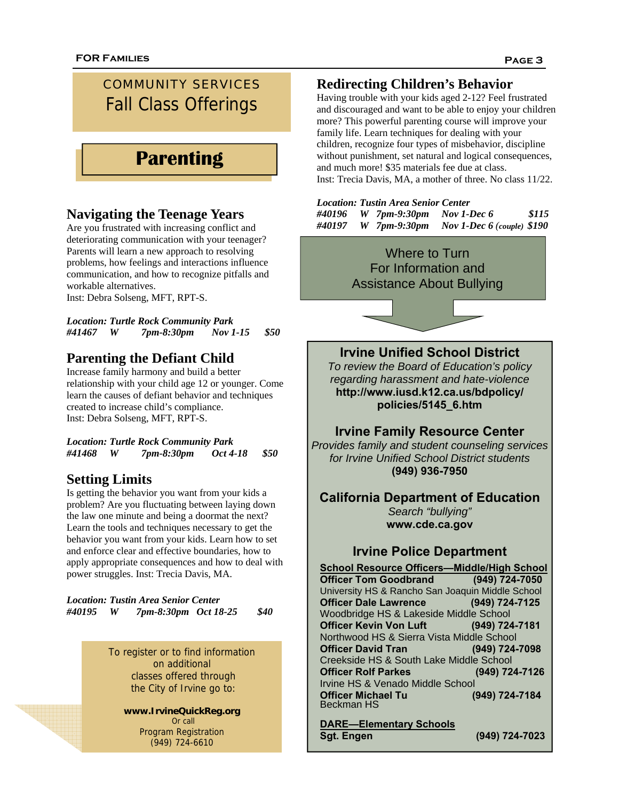# COMMUNITY SERVICES Fall Class Offerings

# **Parenting**

## **Navigating the Teenage Years**

Are you frustrated with increasing conflict and deteriorating communication with your teenager? Parents will learn a new approach to resolving problems, how feelings and interactions influence communication, and how to recognize pitfalls and workable alternatives.

Inst: Debra Solseng, MFT, RPT-S.

*Location: Turtle Rock Community Park #41467 W 7pm-8:30pm Nov 1-15 \$50* 

# **Parenting the Defiant Child**

Increase family harmony and build a better relationship with your child age 12 or younger. Come learn the causes of defiant behavior and techniques created to increase child's compliance. Inst: Debra Solseng, MFT, RPT-S.

*Location: Turtle Rock Community Park #41468 W 7pm-8:30pm Oct 4-18 \$50* 

# **Setting Limits**

Is getting the behavior you want from your kids a problem? Are you fluctuating between laying down the law one minute and being a doormat the next? Learn the tools and techniques necessary to get the behavior you want from your kids. Learn how to set and enforce clear and effective boundaries, how to apply appropriate consequences and how to deal with power struggles. Inst: Trecia Davis, MA.

*Location: Tustin Area Senior Center #40195 W 7pm-8:30pm Oct 18-25 \$40* 

> To register or to find information on additional classes offered through the City of Irvine go to:

**www.IrvineQuickReg.org**  Or call Program Registration (949) 724-6610

# **Redirecting Children's Behavior**

Having trouble with your kids aged 2-12? Feel frustrated and discouraged and want to be able to enjoy your children more? This powerful parenting course will improve your family life. Learn techniques for dealing with your children, recognize four types of misbehavior, discipline without punishment, set natural and logical consequences, and much more! \$35 materials fee due at class. Inst: Trecia Davis, MA, a mother of three. No class 11/22.

| <b>Location: Tustin Area Senior Center</b> |  |                                    |                                                   |       |
|--------------------------------------------|--|------------------------------------|---------------------------------------------------|-------|
|                                            |  | $\#40196$ W 7pm-9:30pm Nov 1-Dec 6 |                                                   | \$115 |
|                                            |  |                                    | $\#40197$ W 7pm-9:30pm Nov 1-Dec 6 (couple) \$190 |       |



**DARE—Elementary Schools**

**Sgt. Engen (949) 724-7023**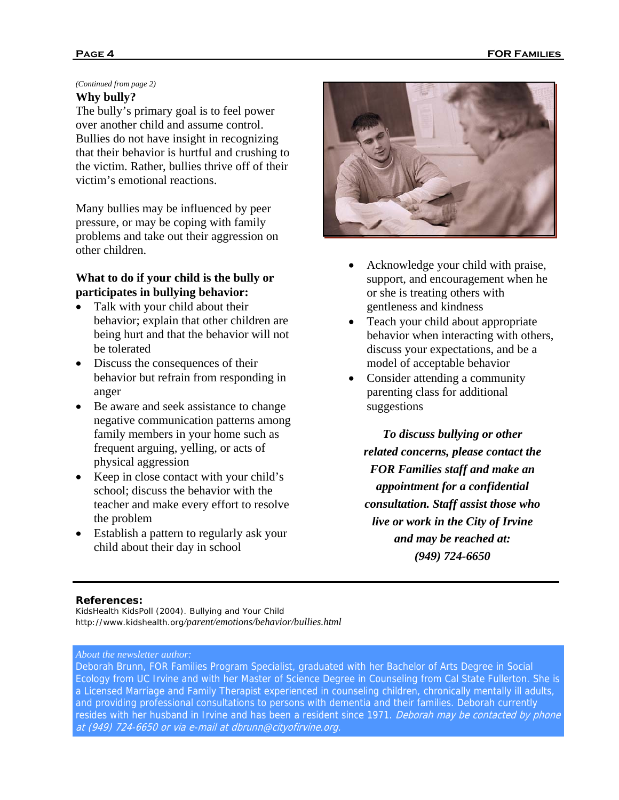### *(Continued from page 2)*

### **Why bully?**

The bully's primary goal is to feel power over another child and assume control. Bullies do not have insight in recognizing that their behavior is hurtful and crushing to the victim. Rather, bullies thrive off of their victim's emotional reactions.

Many bullies may be influenced by peer pressure, or may be coping with family problems and take out their aggression on other children.

### **What to do if your child is the bully or participates in bullying behavior:**

- Talk with your child about their behavior; explain that other children are being hurt and that the behavior will not be tolerated
- Discuss the consequences of their behavior but refrain from responding in anger
- Be aware and seek assistance to change negative communication patterns among family members in your home such as frequent arguing, yelling, or acts of physical aggression
- Keep in close contact with your child's school; discuss the behavior with the teacher and make every effort to resolve the problem
- Establish a pattern to regularly ask your child about their day in school



- Acknowledge your child with praise, support, and encouragement when he or she is treating others with gentleness and kindness
- Teach your child about appropriate behavior when interacting with others, discuss your expectations, and be a model of acceptable behavior
- Consider attending a community parenting class for additional suggestions

*To discuss bullying or other related concerns, please contact the FOR Families staff and make an appointment for a confidential consultation. Staff assist those who live or work in the City of Irvine and may be reached at: (949) 724-6650*

#### **References:**

KidsHealth KidsPoll (2004). Bullying and Your Child *http://www.kidshealth.org/parent/emotions/behavior/bullies.html*

#### *About the newsletter author:*

Deborah Brunn, FOR Families Program Specialist, graduated with her Bachelor of Arts Degree in Social Ecology from UC Irvine and with her Master of Science Degree in Counseling from Cal State Fullerton. She is a Licensed Marriage and Family Therapist experienced in counseling children, chronically mentally ill adults, and providing professional consultations to persons with dementia and their families. Deborah currently resides with her husband in Irvine and has been a resident since 1971. *Deborah may be contacted by phone* at (949) 724-6650 or via e-mail at dbrunn@cityofirvine.org.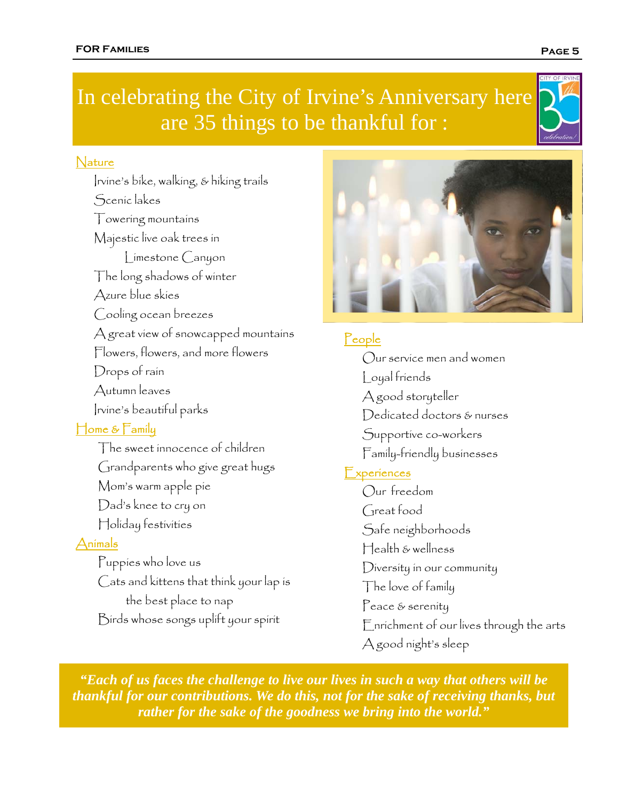# In celebrating the City of Irvine's Anniversary here are 35 things to be thankful for :

# **Nature**

Irvine's bike, walking, & hiking trails Scenic lakes Towering mountains Majestic live oak trees in Limestone Canyon The long shadows of winter Azure blue skies Cooling ocean breezes A great view of snowcapped mountains Flowers, flowers, and more flowers Drops of rain Autumn leaves Irvine's beautiful parks Home & Family The sweet innocence of children Grandparents who give great hugs Mom's warm apple pie Dad's knee to cry on Holiday festivities

# Animals

Puppies who love us Cats and kittens that think your lap is the best place to nap Birds whose songs uplift your spirit

# **People**

Our service men and women Loyal friends A good storyteller Dedicated doctors & nurses Supportive co-workers Family-friendly businesses **Experiences** Our freedom Great food Safe neighborhoods Health & wellness Diversity in our community The love of family Peace & serenity Enrichment of our lives through the arts A good night's sleep

*"Each of us faces the challenge to live our lives in such a way that others will be thankful for our contributions. We do this, not for the sake of receiving thanks, but rather for the sake of the goodness we bring into the world."*